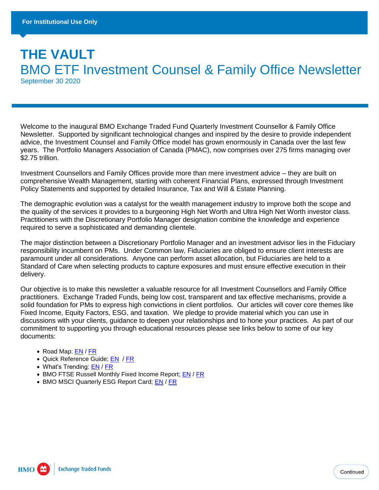# **THE VAULT**  BMO ETF Investment Counsel & Family Office Newsletter September 30 2020

Welcome to the inaugural BMO Exchange Traded Fund Quarterly Investment Counsellor & Family Office Newsletter. Supported by significant technological changes and inspired by the desire to provide independent advice, the Investment Counsel and Family Office model has grown enormously in Canada over the last few years. The Portfolio Managers Association of Canada (PMAC), now comprises over 275 firms managing over \$2.75 trillion.

Investment Counsellors and Family Offices provide more than mere investment advice – they are built on comprehensive Wealth Management, starting with coherent Financial Plans, expressed through Investment Policy Statements and supported by detailed Insurance, Tax and Will & Estate Planning.

The demographic evolution was a catalyst for the wealth management industry to improve both the scope and the quality of the services it provides to a burgeoning High Net Worth and Ultra High Net Worth investor class. Practitioners with the Discretionary Portfolio Manager designation combine the knowledge and experience required to serve a sophisticated and demanding clientele.

The major distinction between a Discretionary Portfolio Manager and an investment advisor lies in the Fiduciary responsibility incumbent on PMs. Under Common law, Fiduciaries are obliged to ensure client interests are paramount under all considerations. Anyone can perform asset allocation, but Fiduciaries are held to a Standard of Care when selecting products to capture exposures and must ensure effective execution in their delivery.

Our objective is to make this newsletter a valuable resource for all Investment Counsellors and Family Office practitioners. Exchange Traded Funds, being low cost, transparent and tax effective mechanisms, provide a solid foundation for PMs to express high convictions in client portfolios. Our articles will cover core themes like Fixed Income, Equity Factors, ESG, and taxation. We pledge to provide material which you can use in discussions with your clients, guidance to deepen your relationships and to hone your practices. As part of our commitment to supporting you through educational resources please see links below to some of our key documents:

- Road Map: [EN](https://bmogamhub.com/system/files/bmo_etfroadmap_eng.pdf?file=1&type=node&id=101483) / [FR](https://bmogamhub.com/system/files/bmo_etfroadmap_fre.pdf?file=1&type=node&id=101498)
- Quick Reference Guide; [EN](https://bmogamhub.com/system/files/largest-and-most-liquid-etfs-en.pdf?file=1&type=node&id=86058) / [FR](https://bmogamhub.com/system/files/largest-and-most-liquid-etfs-fr.pdf?file=1&type=node&id=96651)
- What's Trending: [EN](https://bmogamhub.com/system/files/whats-trending-and-performance-en.pdf?file=1&type=node&id=96870) / [FR](https://bmogamhub.com/system/files/whats-trending-and-performance-fr.pdf?file=1&type=node&id=97369)
- BMO FTSE Russell Monthly Fixed Income Report; [EN](https://bmogamhub.com/system/files/bmo_ftse_fixed_income_insight_report.pdf?file=1&type=node&id=101390) / [FR](https://bmogamhub.com/system/files/july_2020_fixed_income_insight_report_fr.pdf?file=1&type=node&id=100953)
- BMO MSCI Quarterly ESG Report Card; [EN](https://bmo.seismic.com/X5/doccenter.aspx#/doccenter/c1c3517d-2662-43ce-9fef-e198eeffd878/doc/%252Fddefb14310-91dd-4bde-baac-1aca0f4a2762%252Flf34b7b65d-a757-4ef4-a157-1dbc38701c08//?mode=view) / [FR](https://bmo.seismic.com/x5/doccenter.aspx#/doccenter/c1c3517d-2662-43ce-9fef-e198eeffd878/doc/%252Fddefb14310-91dd-4bde-baac-1aca0f4a2762%252Flf0476e93a-563a-4073-b5a4-d52b38fc9a46//?mode=view)

**BMO Exchange Traded Funds**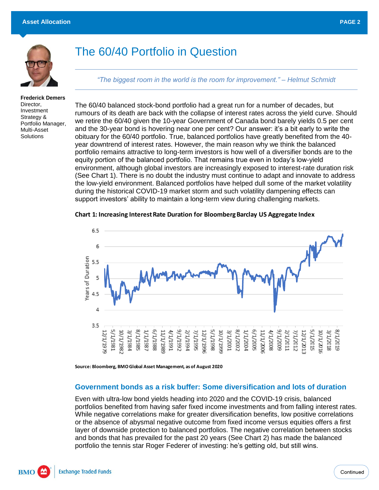

# The 60/40 Portfolio in Question

*"The biggest room in the world is the room for improvement." – Helmut Schmidt*

**Frederick Demers** Director, Investment Strategy & Portfolio Manager, Multi-Asset **Solutions** 

The 60/40 balanced stock-bond portfolio had a great run for a number of decades, but rumours of its death are back with the collapse of interest rates across the yield curve. Should we retire the 60/40 given the 10-year Government of Canada bond barely yields 0.5 per cent and the 30-year bond is hovering near one per cent? Our answer: it's a bit early to write the obituary for the 60/40 portfolio. True, balanced portfolios have greatly benefited from the 40 year downtrend of interest rates. However, the main reason why we think the balanced portfolio remains attractive to long-term investors is how well of a diversifier bonds are to the equity portion of the balanced portfolio. That remains true even in today's low-yield environment, although global investors are increasingly exposed to interest-rate duration risk (See Chart 1). There is no doubt the industry must continue to adapt and innovate to address the low-yield environment. Balanced portfolios have helped dull some of the market volatility during the historical COVID-19 market storm and such volatility dampening effects can support investors' ability to maintain a long-term view during challenging markets.



**Source: Bloomberg, BMO Global Asset Management, as of August 2020**

#### **Government bonds as a risk buffer: Some diversification and lots of duration**

Even with ultra-low bond yields heading into 2020 and the COVID-19 crisis, balanced portfolios benefited from having safer fixed income investments and from falling interest rates. While negative correlations make for greater diversification benefits, low positive correlations or the absence of abysmal negative outcome from fixed income versus equities offers a first layer of downside protection to balanced portfolios. The negative correlation between stocks and bonds that has prevailed for the past 20 years (See Chart 2) has made the balanced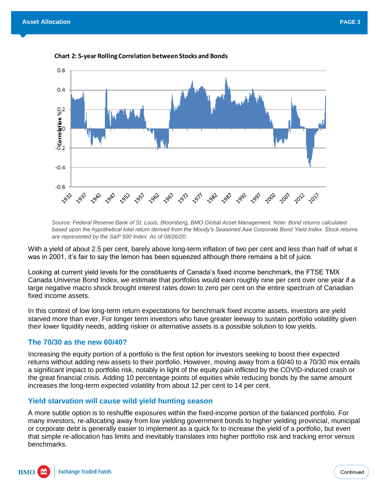

*Source: Federal Reserve Bank of St. Louis, Bloomberg, BMO Global Asset Management. Note: Bond returns calculated based upon the hypothetical total return derived from the Moody's Seasoned Aaa Corporate Bond Yield Index. Stock returns are represented by the S&P 500 Index. As of 08/26/20.*

With a yield of about 2.5 per cent, barely above long-term inflation of two per cent and less than half of what it was in 2001, it's fair to say the lemon has been squeezed although there remains a bit of juice.

Looking at current yield levels for the constituents of Canada's fixed income benchmark, the FTSE TMX Canada Universe Bond Index, we estimate that portfolios would earn roughly nine per cent over one year if a large negative macro shock brought interest rates down to zero per cent on the entire spectrum of Canadian fixed income assets.

In this context of low long-term return expectations for benchmark fixed income assets, investors are yield starved more than ever. For longer term investors who have greater leeway to sustain portfolio volatility given their lower liquidity needs, adding riskier or alternative assets is a possible solution to low yields.

#### **The 70/30 as the new 60/40?**

Increasing the equity portion of a portfolio is the first option for investors seeking to boost their expected returns without adding new assets to their portfolio. However, moving away from a 60/40 to a 70/30 mix entails a significant impact to portfolio risk, notably in light of the equity pain inflicted by the COVID-induced crash or the great financial crisis. Adding 10 percentage points of equities while reducing bonds by the same amount increases the long-term expected volatility from about 12 per cent to 14 per cent.

### **Yield starvation will cause wild yield hunting season**

A more subtle option is to reshuffle exposures within the fixed-income portion of the balanced portfolio. For many investors, re-allocating away from low yielding government bonds to higher yielding provincial, municipal or corporate debt is generally easier to implement as a quick fix to increase the yield of a portfolio, but even that simple re-allocation has limits and inevitably translates into higher portfolio risk and tracking error versus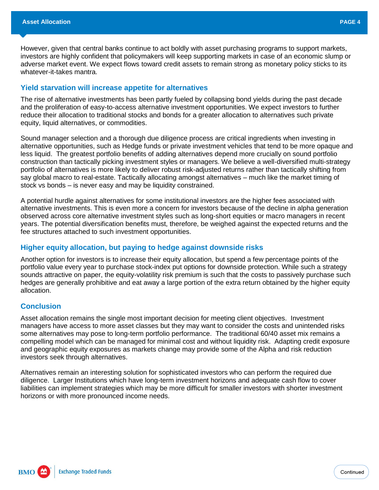However, given that central banks continue to act boldly with asset purchasing programs to support markets, investors are highly confident that policymakers will keep supporting markets in case of an economic slump or adverse market event. We expect flows toward credit assets to remain strong as monetary policy sticks to its whatever-it-takes mantra.

#### **Yield starvation will increase appetite for alternatives**

The rise of alternative investments has been partly fueled by collapsing bond yields during the past decade and the proliferation of easy-to-access alternative investment opportunities. We expect investors to further reduce their allocation to traditional stocks and bonds for a greater allocation to alternatives such private equity, liquid alternatives, or commodities.

Sound manager selection and a thorough due diligence process are critical ingredients when investing in alternative opportunities, such as Hedge funds or private investment vehicles that tend to be more opaque and less liquid. The greatest portfolio benefits of adding alternatives depend more crucially on sound portfolio construction than tactically picking investment styles or managers. We believe a well-diversified multi-strategy portfolio of alternatives is more likely to deliver robust risk-adjusted returns rather than tactically shifting from say global macro to real-estate. Tactically allocating amongst alternatives – much like the market timing of stock vs bonds – is never easy and may be liquidity constrained.

A potential hurdle against alternatives for some institutional investors are the higher fees associated with alternative investments. This is even more a concern for investors because of the decline in alpha generation observed across core alternative investment styles such as long-short equities or macro managers in recent years. The potential diversification benefits must, therefore, be weighed against the expected returns and the fee structures attached to such investment opportunities.

#### **Higher equity allocation, but paying to hedge against downside risks**

Another option for investors is to increase their equity allocation, but spend a few percentage points of the portfolio value every year to purchase stock-index put options for downside protection. While such a strategy sounds attractive on paper, the equity-volatility risk premium is such that the costs to passively purchase such hedges are generally prohibitive and eat away a large portion of the extra return obtained by the higher equity allocation.

#### **Conclusion**

Asset allocation remains the single most important decision for meeting client objectives. Investment managers have access to more asset classes but they may want to consider the costs and unintended risks some alternatives may pose to long-term portfolio performance. The traditional 60/40 asset mix remains a compelling model which can be managed for minimal cost and without liquidity risk. Adapting credit exposure and geographic equity exposures as markets change may provide some of the Alpha and risk reduction investors seek through alternatives.

Alternatives remain an interesting solution for sophisticated investors who can perform the required due diligence. Larger Institutions which have long-term investment horizons and adequate cash flow to cover liabilities can implement strategies which may be more difficult for smaller investors with shorter investment horizons or with more pronounced income needs.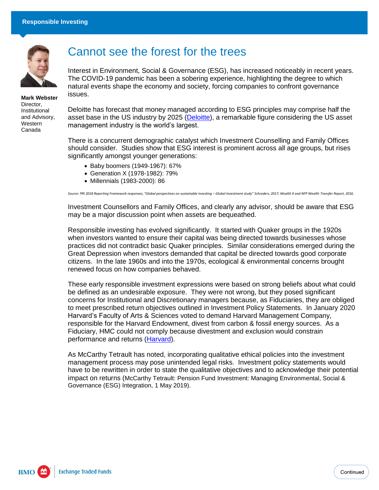

**Mark Webster** Director, Institutional and Advisory, **Western** Canada

# Cannot see the forest for the trees

Interest in Environment, Social & Governance (ESG), has increased noticeably in recent years. The COVID-19 pandemic has been a sobering experience, highlighting the degree to which natural events shape the economy and society, forcing companies to confront governance issues.

Deloitte has forecast that money managed according to ESG principles may comprise half the asset base in the US industry by 2025 [\(Deloitte\)](https://www2.deloitte.com/us/en/insights/industry/financial-services/esg-investing-performance.html), a remarkable figure considering the US asset management industry is the world's largest.

There is a concurrent demographic catalyst which Investment Counselling and Family Offices should consider. Studies show that ESG interest is prominent across all age groups, but rises significantly amongst younger generations:

- Baby boomers (1949-1967): 67%
- Generation X (1978-1982): 79%
- Millennials (1983-2000): 86

*Source: PRI 2018 Reporting Framework responses; "Global perspectives on sustainable investing – Global Investment study" Schroders, 2017; Wealth X and NFP Wealth Transfer Report, 2016.*

Investment Counsellors and Family Offices, and clearly any advisor, should be aware that ESG may be a major discussion point when assets are bequeathed.

Responsible investing has evolved significantly. It started with Quaker groups in the 1920s when investors wanted to ensure their capital was being directed towards businesses whose practices did not contradict basic Quaker principles. Similar considerations emerged during the Great Depression when investors demanded that capital be directed towards good corporate citizens. In the late 1960s and into the 1970s, ecological & environmental concerns brought renewed focus on how companies behaved.

These early responsible investment expressions were based on strong beliefs about what could be defined as an undesirable exposure. They were not wrong, but they posed significant concerns for Institutional and Discretionary managers because, as Fiduciaries, they are obliged to meet prescribed return objectives outlined in Investment Policy Statements. In January 2020 Harvard's Faculty of Arts & Sciences voted to demand Harvard Management Company, responsible for the Harvard Endowment, divest from carbon & fossil energy sources. As a Fiduciary, HMC could not comply because divestment and exclusion would constrain performance and returns [\(Harvard\)](https://www.harvardmagazine.com/2020/02/harvard-faculty-vote-governing-board-divestment).

As McCarthy Tetrault has noted, incorporating qualitative ethical policies into the investment management process may pose unintended legal risks. Investment policy statements would have to be rewritten in order to state the qualitative objectives and to acknowledge their potential impact on returns (McCarthy Tetrault: Pension Fund Investment: Managing Environmental, Social & Governance (ESG) Integration, 1 May 2019).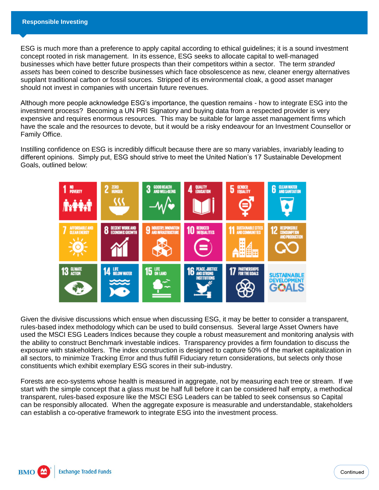ESG is much more than a preference to apply capital according to ethical guidelines; it is a sound investment concept rooted in risk management. In its essence, ESG seeks to allocate capital to well-managed businesses which have better future prospects than their competitors within a sector. The term *stranded assets* has been coined to describe businesses which face obsolescence as new, cleaner energy alternatives supplant traditional carbon or fossil sources. Stripped of its environmental cloak, a good asset manager should not invest in companies with uncertain future revenues.

Although more people acknowledge ESG's importance, the question remains - how to integrate ESG into the investment process? Becoming a UN PRI Signatory and buying data from a respected provider is very expensive and requires enormous resources. This may be suitable for large asset management firms which have the scale and the resources to devote, but it would be a risky endeavour for an Investment Counsellor or Family Office.

Instilling confidence on ESG is incredibly difficult because there are so many variables, invariably leading to different opinions. Simply put, ESG should strive to meet the United Nation's 17 Sustainable Development Goals, outlined below:



Given the divisive discussions which ensue when discussing ESG, it may be better to consider a transparent, rules-based index methodology which can be used to build consensus. Several large Asset Owners have used the MSCI ESG Leaders Indices because they couple a robust measurement and monitoring analysis with the ability to construct Benchmark investable indices. Transparency provides a firm foundation to discuss the exposure with stakeholders. The index construction is designed to capture 50% of the market capitalization in all sectors, to minimize Tracking Error and thus fulfill Fiduciary return considerations, but selects only those constituents which exhibit exemplary ESG scores in their sub-industry.

Forests are eco-systems whose health is measured in aggregate, not by measuring each tree or stream. If we start with the simple concept that a glass must be half full before it can be considered half empty, a methodical transparent, rules-based exposure like the MSCI ESG Leaders can be tabled to seek consensus so Capital can be responsibly allocated. When the aggregate exposure is measurable and understandable, stakeholders can establish a co-operative framework to integrate ESG into the investment process.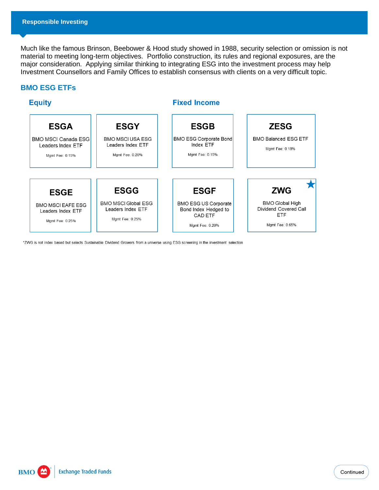Much like the famous Brinson, Beebower & Hood study showed in 1988, security selection or omission is not material to meeting long-term objectives. Portfolio construction, its rules and regional exposures, are the major consideration. Applying similar thinking to integrating ESG into the investment process may help Investment Counsellors and Family Offices to establish consensus with clients on a very difficult topic.

### **BMO ESG ETFs**



\*ZWG is not index based but selects Sustainable Dividend Growers from a universe using ESG screening in the investment selection

**Exchange Traded Funds BMO**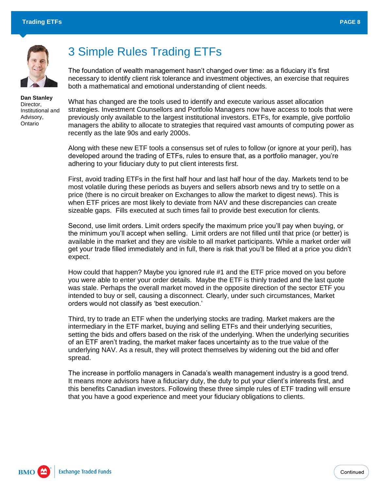

**Dan Stanley** Director, Institutional and Advisory, Ontario

# 3 Simple Rules Trading ETFs

The foundation of wealth management hasn't changed over time: as a fiduciary it's first necessary to identify client risk tolerance and investment objectives, an exercise that requires both a mathematical and emotional understanding of client needs.

What has changed are the tools used to identify and execute various asset allocation strategies. Investment Counsellors and Portfolio Managers now have access to tools that were previously only available to the largest institutional investors. ETFs, for example, give portfolio managers the ability to allocate to strategies that required vast amounts of computing power as recently as the late 90s and early 2000s.

Along with these new ETF tools a consensus set of rules to follow (or ignore at your peril), has developed around the trading of ETFs, rules to ensure that, as a portfolio manager, you're adhering to your fiduciary duty to put client interests first.

First, avoid trading ETFs in the first half hour and last half hour of the day. Markets tend to be most volatile during these periods as buyers and sellers absorb news and try to settle on a price (there is no circuit breaker on Exchanges to allow the market to digest news). This is when ETF prices are most likely to deviate from NAV and these discrepancies can create sizeable gaps. Fills executed at such times fail to provide best execution for clients.

Second, use limit orders. Limit orders specify the maximum price you'll pay when buying, or the minimum you'll accept when selling. Limit orders are not filled until that price (or better) is available in the market and they are visible to all market participants. While a market order will get your trade filled immediately and in full, there is risk that you'll be filled at a price you didn't expect.

How could that happen? Maybe you ignored rule #1 and the ETF price moved on you before you were able to enter your order details. Maybe the ETF is thinly traded and the last quote was stale. Perhaps the overall market moved in the opposite direction of the sector ETF you intended to buy or sell, causing a disconnect. Clearly, under such circumstances, Market orders would not classify as 'best execution.'

Third, try to trade an ETF when the underlying stocks are trading. Market makers are the intermediary in the ETF market, buying and selling ETFs and their underlying securities, setting the bids and offers based on the risk of the underlying. When the underlying securities of an ETF aren't trading, the market maker faces uncertainty as to the true value of the underlying NAV. As a result, they will protect themselves by widening out the bid and offer spread.

The increase in portfolio managers in Canada's wealth management industry is a good trend. It means more advisors have a fiduciary duty, the duty to put your client's interests first, and this benefits Canadian investors. Following these three simple rules of ETF trading will ensure that you have a good experience and meet your fiduciary obligations to clients.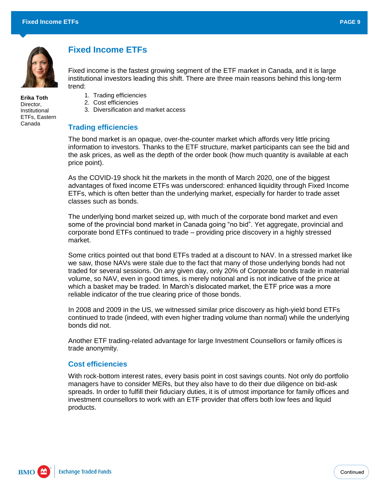

## **Fixed Income ETFs**

Fixed income is the fastest growing segment of the ETF market in Canada, and it is large institutional investors leading this shift. There are three main reasons behind this long-term trend:

- **Erika Toth** Director, Institutional ETFs, Eastern Canada
- 1. Trading efficiencies
- 2. Cost efficiencies
- 3. Diversification and market access

### **Trading efficiencies**

The bond market is an opaque, over-the-counter market which affords very little pricing information to investors. Thanks to the ETF structure, market participants can see the bid and the ask prices, as well as the depth of the order book (how much quantity is available at each price point).

As the COVID-19 shock hit the markets in the month of March 2020, one of the biggest advantages of fixed income ETFs was underscored: enhanced liquidity through Fixed Income ETFs, which is often better than the underlying market, especially for harder to trade asset classes such as bonds.

The underlying bond market seized up, with much of the corporate bond market and even some of the provincial bond market in Canada going "no bid". Yet aggregate, provincial and corporate bond ETFs continued to trade – providing price discovery in a highly stressed market.

Some critics pointed out that bond ETFs traded at a discount to NAV. In a stressed market like we saw, those NAVs were stale due to the fact that many of those underlying bonds had not traded for several sessions. On any given day, only 20% of Corporate bonds trade in material volume, so NAV, even in good times, is merely notional and is not indicative of the price at which a basket may be traded. In March's dislocated market, the ETF price was a more reliable indicator of the true clearing price of those bonds.

In 2008 and 2009 in the US, we witnessed similar price discovery as high-yield bond ETFs continued to trade (indeed, with even higher trading volume than normal) while the underlying bonds did not.

Another ETF trading-related advantage for large Investment Counsellors or family offices is trade anonymity.

#### **Cost efficiencies**

With rock-bottom interest rates, every basis point in cost savings counts. Not only do portfolio managers have to consider MERs, but they also have to do their due diligence on bid-ask spreads. In order to fulfill their fiduciary duties, it is of utmost importance for family offices and investment counsellors to work with an ETF provider that offers both low fees and liquid products.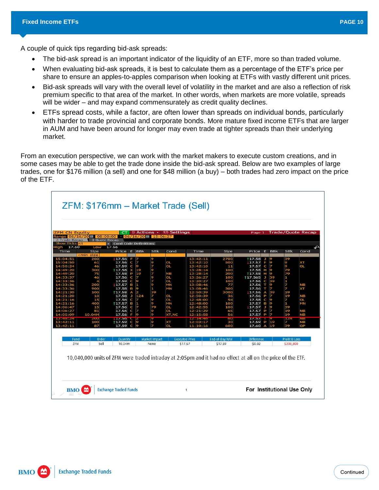A couple of quick tips regarding bid-ask spreads:

- The bid-ask spread is an important indicator of the liquidity of an ETF, more so than traded volume.
- When evaluating bid-ask spreads, it is best to calculate them as a percentage of the ETF's price per share to ensure an apples-to-apples comparison when looking at ETFs with vastly different unit prices.
- Bid-ask spreads will vary with the overall level of volatility in the market and are also a reflection of risk premium specific to that area of the market. In other words, when markets are more volatile, spreads will be wider – and may expand commensurately as credit quality declines.
- ETFs spread costs, while a factor, are often lower than spreads on individual bonds, particularly with harder to trade provincial and corporate bonds. More mature fixed income ETFs that are larger in AUM and have been around for longer may even trade at tighter spreads than their underlying market.

From an execution perspective, we can work with the market makers to execute custom creations, and in some cases may be able to get the trade done inside the bid-ask spread. Below are two examples of large trades, one for \$176 million (a sell) and one for \$48 million (a buy) – both trades had zero impact on the price of the ETF.

| 2) Trade Recap        | Range 06/16/20 = 08:00:00<br><b>3) Quote Recap</b>                                                                                     |                         |        |        | $-06/16/20$ = 15:06:27 | 1) Actions $\cdot$ 97) Settings |                       |                | Page 1            |   |         | <b>Trade/Quote Recap</b> |                 |
|-----------------------|----------------------------------------------------------------------------------------------------------------------------------------|-------------------------|--------|--------|------------------------|---------------------------------|-----------------------|----------------|-------------------|---|---------|--------------------------|-----------------|
| <b>Show Ticks All</b> |                                                                                                                                        | · Cond Code Definitions |        |        |                        |                                 |                       |                |                   |   |         |                          |                 |
| 17.60<br>High<br>Time | Low<br>Size                                                                                                                            | 17.56<br>Price E BBk    |        |        | <b>SB<sub>k</sub></b>  | Cond                            | Time                  | Size           | Price E BBk       |   |         | <b>SB<sub>k</sub></b>    | Cond            |
|                       | <min size<="" td=""><td></td><td></td><td></td><td></td><td></td><td></td><td></td><td></td><td></td><td></td><td></td><td></td></min> |                         |        |        |                        |                                 |                       |                |                   |   |         |                          |                 |
| 15:04:51              | 200                                                                                                                                    | 17.56                   |        |        | 9                      |                                 | 13:42:11              | 2700           | 117.58            | ŋ | Э       | 39                       |                 |
| 15:04:50              | 61                                                                                                                                     | 17.56                   | C      | 7      | 9                      | OL                              | 13:42:10              | 500            | 17.57             |   | 9       | 9                        | XТ              |
| 14:50:24              | 46                                                                                                                                     | 17.59                   | C      | 9      | 7                      | <b>OL</b>                       | 13:42:10              | 11             | 17.57             | c | z       | 9                        | OL              |
| 14:49:20              | 300                                                                                                                                    | 117.58                  | ×      | 19     | 9<br>7                 |                                 | 13:28:14              | 100            | 17.58             | н | 9       | 79                       |                 |
| 14:49:20              | 75                                                                                                                                     | 17.58                   | p      | 19     |                        | <b>NB</b>                       | 13:28:14              | 200            | 117.58            | н | 9       | 79                       |                 |
| 14:33:37              | 46                                                                                                                                     | 17.56                   | C      |        | 9<br>7                 | <b>OL</b>                       | 13:26:27              | 100            | 117.565           | J | 39      | 1<br>1                   |                 |
| 14:33:36<br>14:33:36  | 200                                                                                                                                    | 17.59                   | C<br>в | 9<br>ï | 9                      | OL<br>MN                        | 13:20:27<br>13:08:46  | 100            | 17.56<br>17.56    | c | 39<br>о | 7                        |                 |
| 14:33:36              | 900                                                                                                                                    | 17.57<br>17.58          | в      | 9      | 1                      | MN                              | 13:08:46              | 77<br>300      | 17.56             |   | 7       | 7                        | <b>NB</b><br>×т |
| 14:21:30              | 100                                                                                                                                    | 117.58                  | A      | 2      | 39                     |                                 | 12:50:39              | 3000           | 17.56             | А | 39      | 19                       |                 |
| 14:21:20              | 10                                                                                                                                     | 17.58                   | u      | 124    | 7                      | OL                              | 12:50:39              | 36             | 17.56             | P |         | 19                       | NВ              |
| 14:21:16              | 15                                                                                                                                     | 17.56                   | C      |        | 9                      | OL                              | 12:48:00              | 54             | 17.58             | c | 9       | 7                        | OL              |
| 14:21:16              | 400                                                                                                                                    | 117.57                  | в      |        | 9                      | MN                              | 12:48:00              | 100            | 17.57             | в | 9       | 1                        | MN              |
| 14:06:47              | 15                                                                                                                                     | 17.56                   | C      | 7      | 79                     | OL.                             | 12:42:55              | 100            | 17.57             | O | 9       | 39                       |                 |
| 14:06:27              | 81                                                                                                                                     | 17.56                   | C      |        | 9                      | OL.                             | 12:21:29              | 65             | 17.57             | p | z       | 19                       | <b>NB</b>       |
| 14:05:09              | 10.04M                                                                                                                                 | 17.56                   | F      | l9     | 9                      | <b>XT NC</b>                    | 12:15:58              | 56             | 17.57             | P | 7       | 19                       | <b>NB</b>       |
|                       | سعد                                                                                                                                    | 14750                   |        |        |                        |                                 |                       | <b>COLO</b>    | 1434              |   |         | a es                     | <b>DUBS</b>     |
| 13:42:11              | 100                                                                                                                                    | 117.59                  | O      | 8      | 9                      | XТ                              | 12:03:17              | 30             | 17.59             | b | 19      | 7                        | <b>NB</b>       |
| 13:42:11              | 87                                                                                                                                     | 17.59                   | C      |        | 7                      | ΟL                              | 11:10:16              | 600            | 17.60             | А | 19      | 39                       | OP              |
| Fund                  | Order                                                                                                                                  | Quantity                |        |        | Market Impact          |                                 | <b>Executed Price</b> | End-of-Day NAV | <b>Difference</b> |   |         | Profit & Loss            |                 |
|                       | Sell                                                                                                                                   | 10.04m                  |        |        | None                   |                                 | \$17.57               | \$17.59        | \$0.02            |   |         | \$200,800                |                 |
| ZFM                   |                                                                                                                                        |                         |        |        |                        |                                 |                       |                |                   |   |         |                          |                 |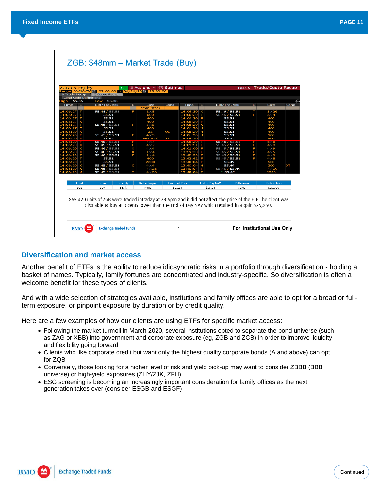| 3) Quote Recap<br><b>Cond Code Definitions</b><br>55.38<br>Low<br>Bid/Trd/Ask | E                                                                                                                                                             |                                                             |                                                                                                                                  |             |                                                        |               |                           |                                                                                                                                                                                                                           |                                                                                                                                                               |
|-------------------------------------------------------------------------------|---------------------------------------------------------------------------------------------------------------------------------------------------------------|-------------------------------------------------------------|----------------------------------------------------------------------------------------------------------------------------------|-------------|--------------------------------------------------------|---------------|---------------------------|---------------------------------------------------------------------------------------------------------------------------------------------------------------------------------------------------------------------------|---------------------------------------------------------------------------------------------------------------------------------------------------------------|
|                                                                               |                                                                                                                                                               |                                                             |                                                                                                                                  |             |                                                        |               |                           |                                                                                                                                                                                                                           |                                                                                                                                                               |
|                                                                               |                                                                                                                                                               |                                                             |                                                                                                                                  |             |                                                        |               |                           |                                                                                                                                                                                                                           |                                                                                                                                                               |
|                                                                               |                                                                                                                                                               | <b>Size</b>                                                 | Cond                                                                                                                             | <b>Time</b> | Ε.                                                     | Bid/Trd/Ask   | Е                         | Size                                                                                                                                                                                                                      | Cond                                                                                                                                                          |
| 55.48 / 55.51                                                                 |                                                                                                                                                               | <min size=""><br/><math>1\times 5</math></min>              |                                                                                                                                  | 14:06:20    |                                                        | 55.46 / 55.51 |                           | $3 \times 26$                                                                                                                                                                                                             |                                                                                                                                                               |
| 55.51                                                                         |                                                                                                                                                               | 600                                                         |                                                                                                                                  |             |                                                        | 55.46 / 55.51 | F                         | $6\times4$                                                                                                                                                                                                                |                                                                                                                                                               |
| 55.51                                                                         |                                                                                                                                                               | 400                                                         |                                                                                                                                  |             |                                                        |               |                           | 400                                                                                                                                                                                                                       |                                                                                                                                                               |
| 55.51                                                                         |                                                                                                                                                               | 400                                                         |                                                                                                                                  |             |                                                        |               |                           | 400                                                                                                                                                                                                                       |                                                                                                                                                               |
| 55.46 / 55.51                                                                 | F                                                                                                                                                             | $5\times 5$                                                 |                                                                                                                                  |             |                                                        |               |                           | 400                                                                                                                                                                                                                       |                                                                                                                                                               |
| 55.51                                                                         |                                                                                                                                                               |                                                             |                                                                                                                                  |             |                                                        |               |                           |                                                                                                                                                                                                                           |                                                                                                                                                               |
|                                                                               |                                                                                                                                                               |                                                             |                                                                                                                                  |             |                                                        |               |                           |                                                                                                                                                                                                                           |                                                                                                                                                               |
|                                                                               |                                                                                                                                                               |                                                             |                                                                                                                                  |             |                                                        |               |                           |                                                                                                                                                                                                                           |                                                                                                                                                               |
|                                                                               |                                                                                                                                                               |                                                             |                                                                                                                                  |             |                                                        |               |                           |                                                                                                                                                                                                                           |                                                                                                                                                               |
|                                                                               |                                                                                                                                                               |                                                             |                                                                                                                                  |             |                                                        |               |                           |                                                                                                                                                                                                                           |                                                                                                                                                               |
|                                                                               |                                                                                                                                                               |                                                             |                                                                                                                                  |             |                                                        |               |                           |                                                                                                                                                                                                                           |                                                                                                                                                               |
|                                                                               |                                                                                                                                                               |                                                             |                                                                                                                                  |             |                                                        |               |                           |                                                                                                                                                                                                                           |                                                                                                                                                               |
| 55.48 / 55.51                                                                 |                                                                                                                                                               | $1\times4$                                                  |                                                                                                                                  |             |                                                        |               |                           | $4\times9$                                                                                                                                                                                                                |                                                                                                                                                               |
| 55.51                                                                         |                                                                                                                                                               | 400                                                         |                                                                                                                                  |             |                                                        |               |                           | $4\times8$                                                                                                                                                                                                                |                                                                                                                                                               |
| 55.51                                                                         |                                                                                                                                                               | 2200                                                        |                                                                                                                                  |             |                                                        |               |                           | 500                                                                                                                                                                                                                       |                                                                                                                                                               |
|                                                                               |                                                                                                                                                               |                                                             |                                                                                                                                  |             |                                                        |               |                           |                                                                                                                                                                                                                           | xт                                                                                                                                                            |
|                                                                               |                                                                                                                                                               |                                                             |                                                                                                                                  |             |                                                        |               |                           |                                                                                                                                                                                                                           |                                                                                                                                                               |
|                                                                               |                                                                                                                                                               |                                                             |                                                                                                                                  |             |                                                        |               |                           |                                                                                                                                                                                                                           |                                                                                                                                                               |
| Order                                                                         |                                                                                                                                                               | Market Impact                                               |                                                                                                                                  |             |                                                        |               | <b>Difference</b>         | Profit & Loss                                                                                                                                                                                                             |                                                                                                                                                               |
|                                                                               |                                                                                                                                                               |                                                             |                                                                                                                                  |             |                                                        |               |                           |                                                                                                                                                                                                                           |                                                                                                                                                               |
|                                                                               | 55.51<br>55.45 / 55.51<br>55.52<br>55.45 / 55.51<br>55.45 / 55.51<br>55.46 / 55.51<br>55.48 / 55.51<br>55.45 / 55.51<br>55.46 / 55.51<br>55.45 / 55.51<br>Buv | F<br>F<br>$\pi \times \times$<br>С<br>Т<br>Quantity<br>865k | 400<br>35<br>$4\times 5$<br>865.42K<br>$4\times7$<br>$4\times7$<br>$4\times4$<br>$1\times4$<br>$4\times4$<br>$4\times26$<br>None | OL          | 14.06.<br>14:06:20<br><b>Executed Price</b><br>\$55.51 | н             | End-of-Day NAV<br>\$55.54 | 55.51<br>55.51<br>55.51<br>55.51<br>55.51<br>55.51<br>1 55.51<br>55.46 / 55.51<br>55.45 / 55.51<br>55.45 / 55.51<br>55.45 / 55.51<br>55.45 / 55.51<br>55.45 / 55.51<br>55.49<br>55.49<br>55.45 / 55.49<br>55.49<br>\$0.03 | 400<br>400<br>100<br>400<br>$6 \times 8$<br>F<br>$4\times8$<br>F<br>$4\times9$<br>F<br>$4\times 5$<br>F<br>F<br>200<br>$4 \times 19$<br>т<br>1300<br>\$25,950 |

#### **Diversification and market access**

Another benefit of ETFs is the ability to reduce idiosyncratic risks in a portfolio through diversification - holding a basket of names. Typically, family fortunes are concentrated and industry-specific. So diversification is often a welcome benefit for these types of clients.

And with a wide selection of strategies available, institutions and family offices are able to opt for a broad or fullterm exposure, or pinpoint exposure by duration or by credit quality.

Here are a few examples of how our clients are using ETFs for specific market access:

- Following the market turmoil in March 2020, several institutions opted to separate the bond universe (such as ZAG or XBB) into government and corporate exposure (eg, ZGB and ZCB) in order to improve liquidity and flexibility going forward
- Clients who like corporate credit but want only the highest quality corporate bonds (A and above) can opt for ZQB
- Conversely, those looking for a higher level of risk and yield pick-up may want to consider ZBBB (BBB universe) or high-yield exposures (ZHY/ZJK, ZFH)
- ESG screening is becoming an increasingly important consideration for family offices as the next generation takes over (consider ESGB and ESGF)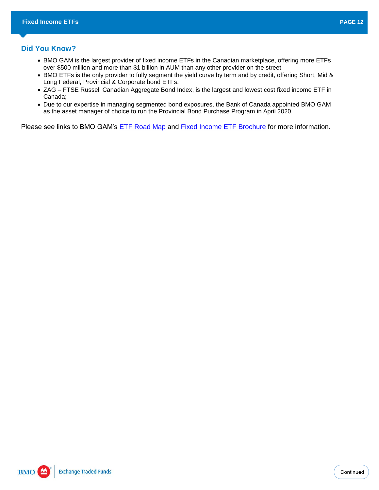#### **Did You Know?**

- BMO GAM is the largest provider of fixed income ETFs in the Canadian marketplace, offering more ETFs over \$500 million and more than \$1 billion in AUM than any other provider on the street.
- BMO ETFs is the only provider to fully segment the yield curve by term and by credit, offering Short, Mid & Long Federal, Provincial & Corporate bond ETFs.
- ZAG FTSE Russell Canadian Aggregate Bond Index, is the largest and lowest cost fixed income ETF in Canada;
- Due to our expertise in managing segmented bond exposures, the Bank of Canada appointed BMO GAM as the asset manager of choice to run the Provincial Bond Purchase Program in April 2020.

Please see links to BMO GAM's **ETF Road Map** and **Fixed Income ETF Brochure** for more information.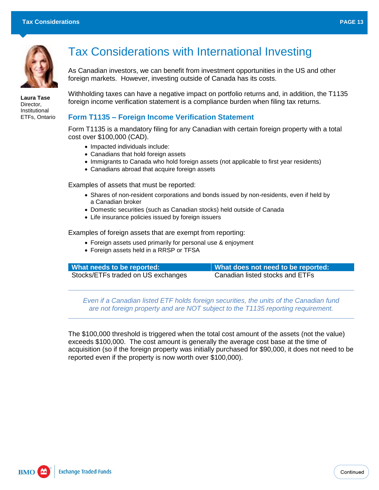

**Laura Tase** Director, Institutional ETFs, Ontario

# Tax Considerations with International Investing

As Canadian investors, we can benefit from investment opportunities in the US and other foreign markets. However, investing outside of Canada has its costs.

Withholding taxes can have a negative impact on portfolio returns and, in addition, the T1135 foreign income verification statement is a compliance burden when filing tax returns.

### **Form T1135 – Foreign Income Verification Statement**

Form T1135 is a mandatory filing for any Canadian with certain foreign property with a total cost over \$100,000 (CAD).

- Impacted individuals include:
- Canadians that hold foreign assets
- Immigrants to Canada who hold foreign assets (not applicable to first year residents)
- Canadians abroad that acquire foreign assets

Examples of assets that must be reported:

- Shares of non-resident corporations and bonds issued by non-residents, even if held by a Canadian broker
- Domestic securities (such as Canadian stocks) held outside of Canada
- Life insurance policies issued by foreign issuers

Examples of foreign assets that are exempt from reporting:

- Foreign assets used primarily for personal use & enjoyment
- Foreign assets held in a RRSP or TFSA

| What needs to be reported:         | What does not need to be reported: |
|------------------------------------|------------------------------------|
| Stocks/ETFs traded on US exchanges | Canadian listed stocks and ETFs    |

*Even if a Canadian listed ETF holds foreign securities, the units of the Canadian fund are not foreign property and are NOT subject to the T1135 reporting requirement.*

The \$100,000 threshold is triggered when the total cost amount of the assets (not the value) exceeds \$100,000. The cost amount is generally the average cost base at the time of acquisition (so if the foreign property was initially purchased for \$90,000, it does not need to be reported even if the property is now worth over \$100,000).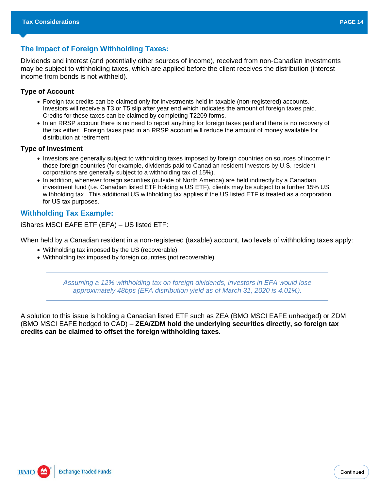### **The Impact of Foreign Withholding Taxes:**

Dividends and interest (and potentially other sources of income), received from non-Canadian investments may be subject to withholding taxes, which are applied before the client receives the distribution (interest income from bonds is not withheld).

#### **Type of Account**

- Foreign tax credits can be claimed only for investments held in taxable (non-registered) accounts. Investors will receive a T3 or T5 slip after year end which indicates the amount of foreign taxes paid. Credits for these taxes can be claimed by completing T2209 forms.
- In an RRSP account there is no need to report anything for foreign taxes paid and there is no recovery of the tax either. Foreign taxes paid in an RRSP account will reduce the amount of money available for distribution at retirement

#### **Type of Investment**

- Investors are generally subject to withholding taxes imposed by foreign countries on sources of income in those foreign countries (for example, dividends paid to Canadian resident investors by U.S. resident corporations are generally subject to a withholding tax of 15%).
- In addition, whenever foreign securities (outside of North America) are held indirectly by a Canadian investment fund (i.e. Canadian listed ETF holding a US ETF), clients may be subject to a further 15% US withholding tax. This additional US withholding tax applies if the US listed ETF is treated as a corporation for US tax purposes.

### **Withholding Tax Example:**

iShares MSCI EAFE ETF (EFA) – US listed ETF:

When held by a Canadian resident in a non-registered (taxable) account, two levels of withholding taxes apply:

- Withholding tax imposed by the US (recoverable)
- Withholding tax imposed by foreign countries (not recoverable)

*Assuming a 12% withholding tax on foreign dividends, investors in EFA would lose approximately 48bps (EFA distribution yield as of March 31, 2020 is 4.01%).*

A solution to this issue is holding a Canadian listed ETF such as ZEA (BMO MSCI EAFE unhedged) or ZDM (BMO MSCI EAFE hedged to CAD) – **ZEA/ZDM hold the underlying securities directly, so foreign tax credits can be claimed to offset the foreign withholding taxes.**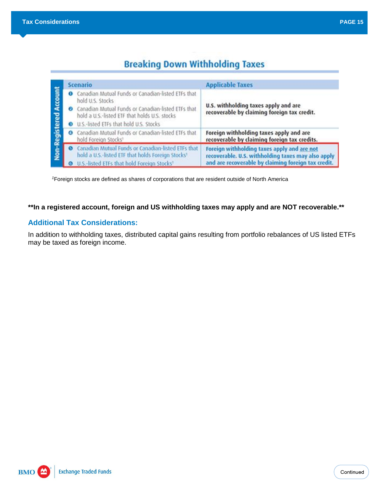# **Breaking Down Withholding Taxes**

|                | Scenario                                                                                                                                                                                                                                               | <b>Applicable Taxes</b>                                                                                                                                  |
|----------------|--------------------------------------------------------------------------------------------------------------------------------------------------------------------------------------------------------------------------------------------------------|----------------------------------------------------------------------------------------------------------------------------------------------------------|
| <b>Account</b> | Canadian Mutual Funds or Canadian-listed ETFs that<br>$\bullet$<br>hold U.S. Stocks<br><b>O</b> Canadian Mutual Funds or Canadian-listed ETFs that<br>hold a U.S.-listed ETF that holds U.S. stocks<br><b>O</b> U.S.-listed ETFs that hold U.S. Stocks | U.S. withholding taxes apply and are<br>recoverable by claiming foreign tax credit.                                                                      |
|                | O Canadian Mutual Funds or Canadian-listed ETFs that<br>hold Foreign Stocks <sup>1</sup>                                                                                                                                                               | Foreign withholding taxes apply and are<br>recoverable by claiming foreign tax credits.                                                                  |
| Non-Registered | Canadian Mutual Funds or Canadian-listed ETFs that<br>G<br>hold a U.S.-listed ETF that holds Foreign Stocks <sup>1</sup><br>U.S.-listed ETFs that hold Foreign Stocks <sup>1</sup>                                                                     | Foreign withholding taxes apply and are not<br>recoverable. U.S. withholding taxes may also apply<br>and are recoverable by claiming foreign tax credit. |

*<sup>1</sup>*Foreign stocks are defined as shares of corporations that are resident outside of North America

### **\*\*In a registered account, foreign and US withholding taxes may apply and are NOT recoverable.\*\***

### **Additional Tax Considerations:**

In addition to withholding taxes, distributed capital gains resulting from portfolio rebalances of US listed ETFs may be taxed as foreign income.